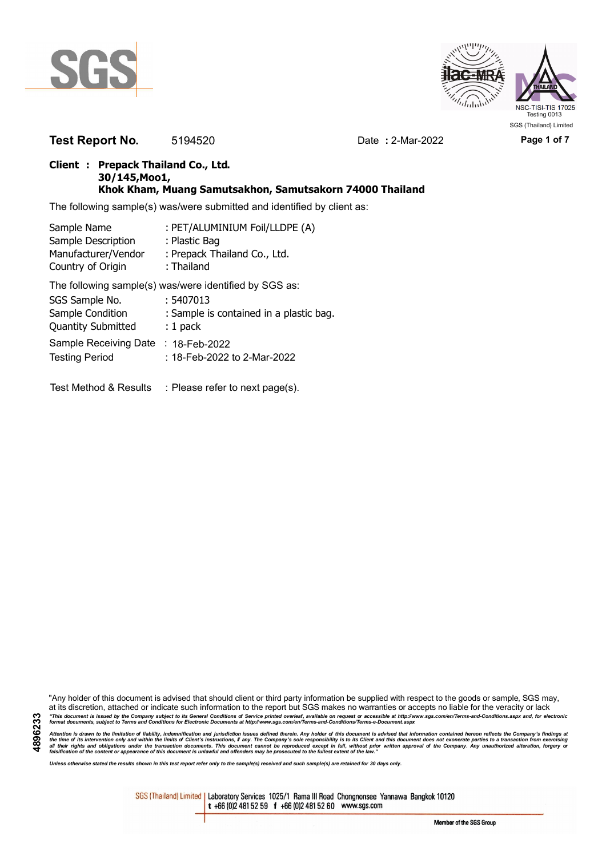



**Test Report No.** 5194520 Date **:** 2-Mar-2022 **Page 1 of 7**

## **Client : Prepack Thailand Co., Ltd. 30/145,Moo1, Khok Kham, Muang Samutsakhon, Samutsakorn 74000 Thailand**

The following sample(s) was/were submitted and identified by client as:

| Sample Name               | : PET/ALUMINIUM Foil/LLDPE (A)                         |
|---------------------------|--------------------------------------------------------|
| Sample Description        | : Plastic Bag                                          |
| Manufacturer/Vendor       | : Prepack Thailand Co., Ltd.                           |
| Country of Origin         | : Thailand                                             |
|                           | The following sample(s) was/were identified by SGS as: |
| SGS Sample No.            | : 5407013                                              |
| Sample Condition          | : Sample is contained in a plastic bag.                |
| <b>Quantity Submitted</b> | $: 1$ pack                                             |
| Sample Receiving Date     | : $18$ -Feb-2022                                       |
| <b>Testing Period</b>     | : 18-Feb-2022 to 2-Mar-2022                            |

Test Method & Results : Please refer to next page(s).

"Any holder of this document is advised that should client or third party information be supplied with respect to the goods or sample, SGS may, at its discretion, attached or indicate such information to the report but SGS makes no warranties or accepts no liable for the veracity or lack "This document is issued by the Company subject to its General Conditions of Service printed overleaf, available on request or accessible at http://www.sgs.com/en/Terms-and-Conditions.aspx and, for electronic<br>format docume

Attention is drawn to the limitation of liability, indemnification and jurisdiction issues defined therein. Any holder of this document is advised that information contained hereon reflects the Company's findings at<br>all th

*Unless otherwise stated the results shown in this test report refer only to the sample(s) received and such sample(s) are retained for 30 days only.*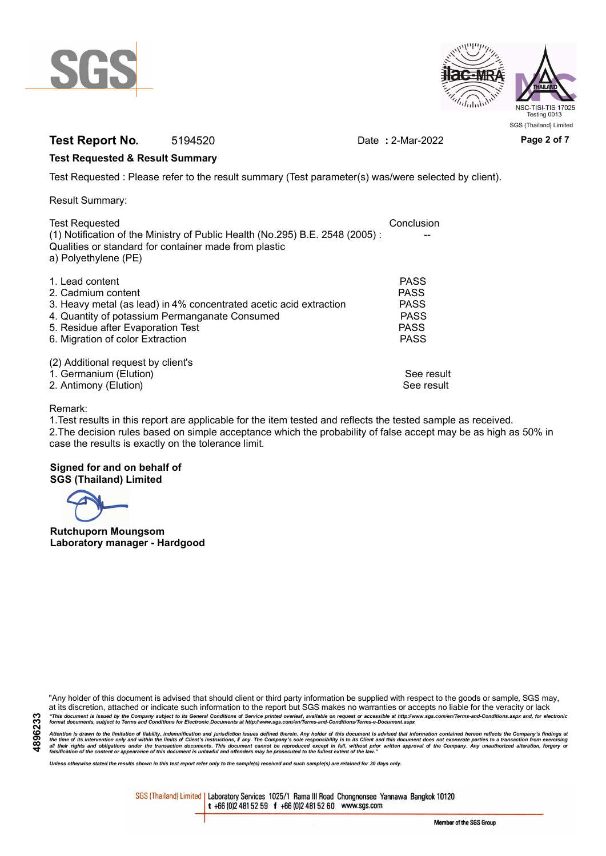



# **Test Report No.** 5194520 Date **:** 2-Mar-2022 **Page 2 of 7**

## **Test Requested & Result Summary**

Test Requested : Please refer to the result summary (Test parameter(s) was/were selected by client).

Result Summary:

| Conclusion  |
|-------------|
|             |
|             |
|             |
| <b>PASS</b> |
| <b>PASS</b> |
| <b>PASS</b> |
| <b>PASS</b> |
| <b>PASS</b> |
| <b>PASS</b> |
|             |
|             |
| See result  |
| See result  |
|             |

## Remark:

1.Test results in this report are applicable for the item tested and reflects the tested sample as received. 2.The decision rules based on simple acceptance which the probability of false accept may be as high as 50% in case the results is exactly on the tolerance limit.

## **Signed for and on behalf of SGS (Thailand) Limited**

**Rutchuporn Moungsom Laboratory manager - Hardgood**

"Any holder of this document is advised that should client or third party information be supplied with respect to the goods or sample, SGS may, at its discretion, attached or indicate such information to the report but SGS makes no warranties or accepts no liable for the veracity or lack "This document is issued by the Company subject to its General Conditions of Service printed overleaf, available on request or accessible at http://www.sgs.com/en/Terms-and-Conditions.aspx and, for electronic<br>format docume

Attention is drawn to the limitation of liability, indemnification and jurisdiction issues defined therein. Any holder of this document is advised that information contained hereon reflects the Company's findings at<br>all th

*Unless otherwise stated the results shown in this test report refer only to the sample(s) received and such sample(s) are retained for 30 days only.*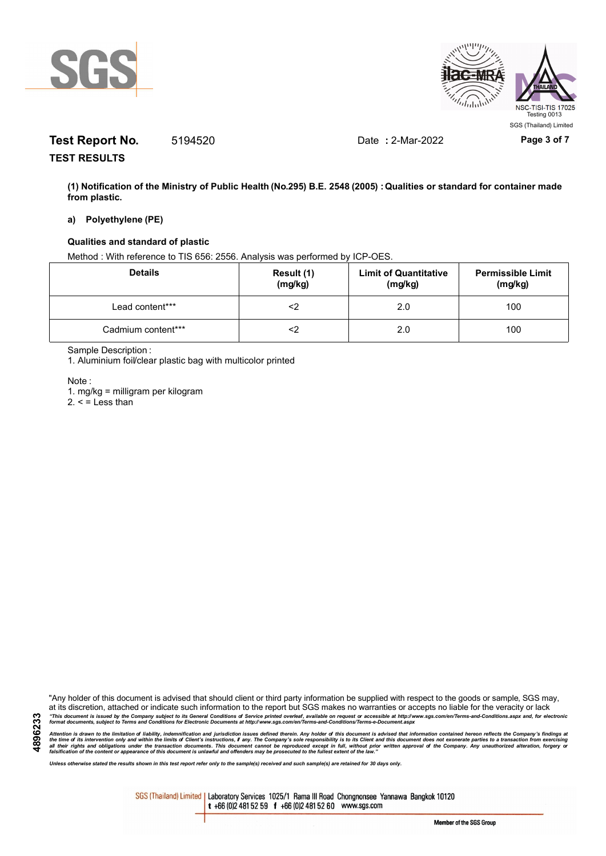



# **Test Report No.** 5194520 Date **:** 2-Mar-2022 **Page 3 of 7**

**TEST RESULTS**

**(1) Notification of the Ministry of Public Health (No.295) B.E. 2548 (2005) : Qualities or standard for container made from plastic.**

## **a) Polyethylene (PE)**

## **Qualities and standard of plastic**

Method : With reference to TIS 656: 2556. Analysis was performed by ICP-OES.

| <b>Details</b>     | Result (1)<br>(mg/kg) | <b>Limit of Quantitative</b><br>(mg/kg) | <b>Permissible Limit</b><br>(mg/kg) |
|--------------------|-----------------------|-----------------------------------------|-------------------------------------|
| Lead content***    | ≤>                    | 2.0                                     | 100                                 |
| Cadmium content*** | ∠>                    | 2.0                                     | 100                                 |

Sample Description :

1. Aluminium foil/clear plastic bag with multicolor printed

Note :

**4896233**

1. mg/kg = milligram per kilogram

 $2. <$  = Less than

"Any holder of this document is advised that should client or third party information be supplied with respect to the goods or sample, SGS may, at its discretion, attached or indicate such information to the report but SGS makes no warranties or accepts no liable for the veracity or lack "This document is issued by the Company subject to its General Conditions of Service printed overleaf, available on request or accessible at http://www.sgs.com/en/Terms-and-Conditions.aspx and, for electronic<br>format docume

Attention is drawn to the limitation of liability, indemnification and jurisdiction issues defined therein. Any holder of this document is advised that information contained hereon reflects the Company's findings at<br>all th

*Unless otherwise stated the results shown in this test report refer only to the sample(s) received and such sample(s) are retained for 30 days only.*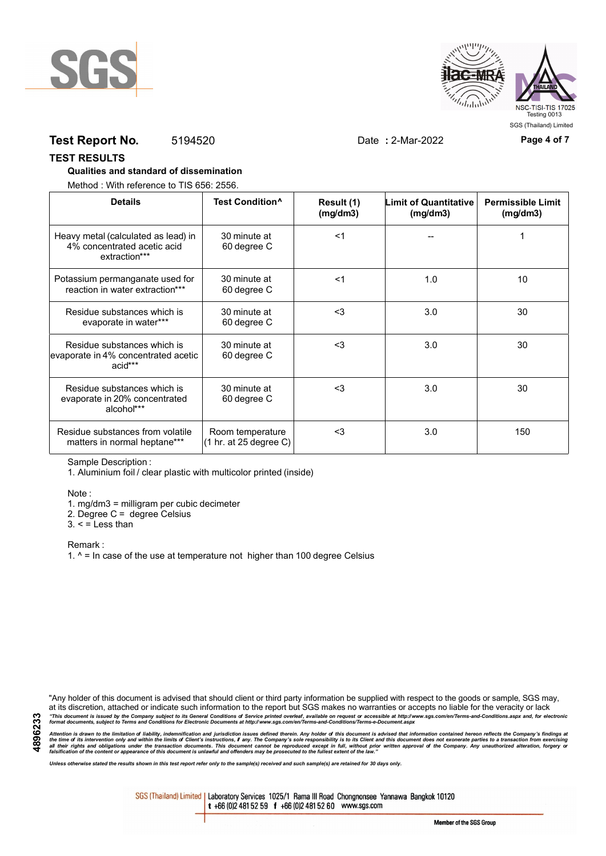



## **Test Report No.** 5194520 Date **:** 2-Mar-2022 **Page 4 of 7**

## **TEST RESULTS**

## **Qualities and standard of dissemination**

Method : With reference to TIS 656: 2556.

| <b>Details</b>                                                                      | Test Condition <sup>^</sup>                | Result (1)<br>(mg/dm3) | Limit of Quantitative<br>(mg/dm3) | <b>Permissible Limit</b><br>(mg/dm3) |
|-------------------------------------------------------------------------------------|--------------------------------------------|------------------------|-----------------------------------|--------------------------------------|
| Heavy metal (calculated as lead) in<br>4% concentrated acetic acid<br>extraction*** | 30 minute at<br>60 degree C                | $<$ 1                  |                                   |                                      |
| Potassium permanganate used for<br>reaction in water extraction***                  | 30 minute at<br>60 degree C                | $<$ 1                  | 1.0                               | 10                                   |
| Residue substances which is<br>evaporate in water***                                | 30 minute at<br>60 degree C                | $3$                    | 3.0                               | 30                                   |
| Residue substances which is<br>evaporate in 4% concentrated acetic<br>acid***       | 30 minute at<br>60 degree C                | $<$ 3                  | 3.0                               | 30                                   |
| Residue substances which is<br>evaporate in 20% concentrated<br>alcohol***          | 30 minute at<br>60 degree C                | $3$                    | 3.0                               | 30                                   |
| Residue substances from volatile<br>matters in normal heptane***                    | Room temperature<br>(1 hr. at 25 degree C) | $3$                    | 3.0                               | 150                                  |

Sample Description :

1. Aluminium foil / clear plastic with multicolor printed (inside)

Note :

1. mg/dm3 = milligram per cubic decimeter

2. Degree C = degree Celsius

 $3. <$  = Less than

Remark :

1.  $^{\circ}$  = In case of the use at temperature not higher than 100 degree Celsius

"Any holder of this document is advised that should client or third party information be supplied with respect to the goods or sample, SGS may, at its discretion, attached or indicate such information to the report but SGS makes no warranties or accepts no liable for the veracity or lack "This document is issued by the Company subject to its General Conditions of Service printed overleaf, available on request or accessible at http://www.sgs.com/en/Terms-and-Conditions.aspx and, for electronic<br>format docume

Attention is drawn to the limitation of liability, indemnification and jurisdiction issues defined therein. Any holder of this document is advised that information contained hereon reflects the Company's findings at<br>all th

*Unless otherwise stated the results shown in this test report refer only to the sample(s) received and such sample(s) are retained for 30 days only.*

SGS (Thailand) Limited | Laboratory Services 1025/1 Rama III Road Chongnonsee Yannawa Bangkok 10120 t +66 (0)2 481 52 59 f +66 (0)2 481 52 60 www.sgs.com

Member of the SGS Group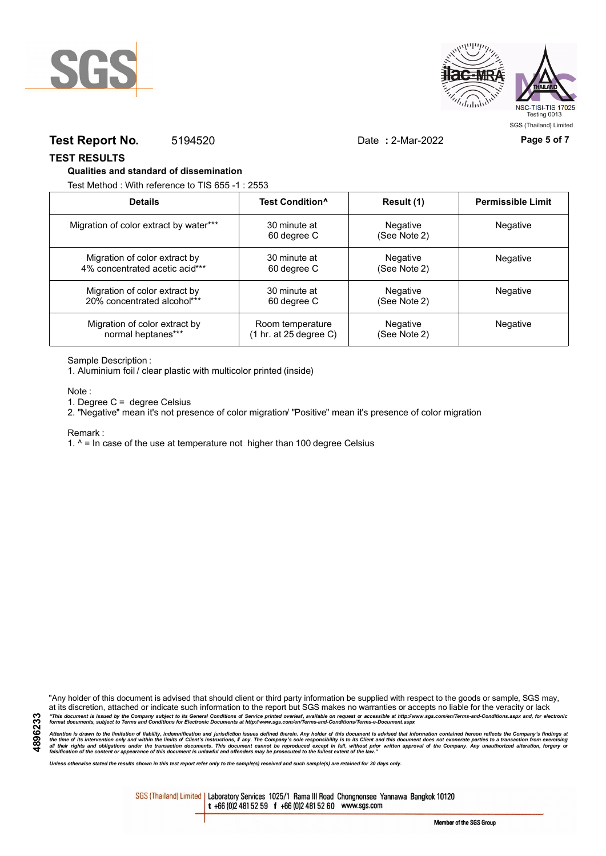



## **Test Report No.** 5194520 Date **:** 2-Mar-2022 **Page 5 of 7**

## **TEST RESULTS**

## **Qualities and standard of dissemination**

Test Method : With reference to TIS 655 -1 : 2553

| <b>Details</b>                         | Test Condition <sup>^</sup> | Result (1)               | <b>Permissible Limit</b> |
|----------------------------------------|-----------------------------|--------------------------|--------------------------|
| Migration of color extract by water*** | 30 minute at<br>60 degree C | Negative<br>(See Note 2) | Negative                 |
| Migration of color extract by          | 30 minute at                | Negative                 | Negative                 |
| 4% concentrated acetic acid***         | 60 degree C                 | (See Note 2)             |                          |
| Migration of color extract by          | 30 minute at                | Negative                 | Negative                 |
| 20% concentrated alcohol***            | 60 degree C                 | (See Note 2)             |                          |
| Migration of color extract by          | Room temperature            | Negative                 | Negative                 |
| normal heptanes***                     | (1 hr. at 25 degree C)      | (See Note 2)             |                          |

## Sample Description :

1. Aluminium foil / clear plastic with multicolor printed (inside)

Note :

1. Degree C = degree Celsius

2. "Negative" mean it's not presence of color migration/ "Positive" mean it's presence of color migration

#### Remark :

1.  $^{\circ}$  = In case of the use at temperature not higher than 100 degree Celsius

"Any holder of this document is advised that should client or third party information be supplied with respect to the goods or sample, SGS may, at its discretion, attached or indicate such information to the report but SGS makes no warranties or accepts no liable for the veracity or lack "This document is issued by the Company subject to its General Conditions of Service printed overleaf, available on request or accessible at http://www.sgs.com/en/Terms-and-Conditions.aspx and, for electronic<br>format docume

Attention is drawn to the limitation of liability, indemnification and jurisdiction issues defined therein. Any holder of this document is advised that information contained hereon reflects the Company's findings at<br>all th

*Unless otherwise stated the results shown in this test report refer only to the sample(s) received and such sample(s) are retained for 30 days only.*

SGS (Thailand) Limited | Laboratory Services 1025/1 Rama III Road Chongnonsee Yannawa Bangkok 10120 t +66 (0)2 481 52 59 f +66 (0)2 481 52 60 www.sgs.com

Member of the SGS Group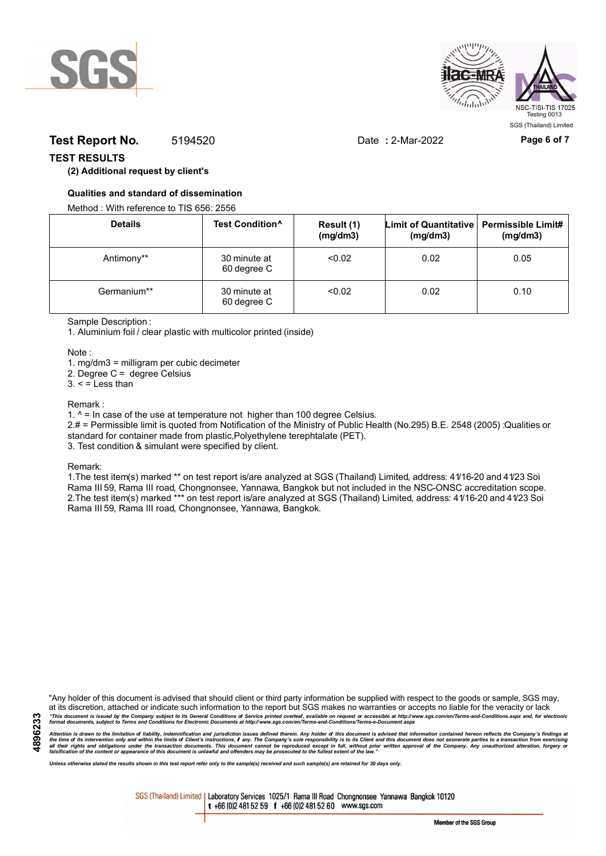



# **Test Report No.** 5194520 Date **:** 2-Mar-2022 **Page 6 of 7**

## **TEST RESULTS**

## **(2) Additional request by client's**

## **Qualities and standard of dissemination**

Method : With reference to TIS 656: 2556

| <b>Details</b> | Test Condition <sup>^</sup> | Result (1)<br>(mg/dm3) | Limit of Quantitative   Permissible Limit#<br>(mg/dm3) | (mg/dm3) |
|----------------|-----------------------------|------------------------|--------------------------------------------------------|----------|
| Antimony**     | 30 minute at<br>60 degree C | < 0.02                 | 0.02                                                   | 0.05     |
| Germanium**    | 30 minute at<br>60 degree C | < 0.02                 | 0.02                                                   | 0.10     |

Sample Description :

1. Aluminium foil / clear plastic with multicolor printed (inside)

Note :

1. mg/dm3 = milligram per cubic decimeter

2. Degree C = degree Celsius

 $3. <$  = Less than

#### Remark :

1.  $^{\circ}$  = In case of the use at temperature not higher than 100 degree Celsius.

2.# = Permissible limit is quoted from Notification of the Ministry of Public Health (No.295) B.E. 2548 (2005) :Qualities or standard for container made from plastic,Polyethylene terephtalate (PET).

3. Test condition & simulant were specified by client.

Remark:

1.The test item(s) marked \*\* on test report is/are analyzed at SGS (Thailand) Limited, address: 41/16-20 and 41/23 Soi Rama III 59, Rama III road, Chongnonsee, Yannawa, Bangkok but not included in the NSC-ONSC accreditation scope. 2.The test item(s) marked \*\*\* on test report is/are analyzed at SGS (Thailand) Limited, address: 41/16-20 and 41/23 Soi Rama III 59, Rama III road, Chongnonsee, Yannawa, Bangkok.

"Any holder of this document is advised that should client or third party information be supplied with respect to the goods or sample, SGS may, at its discretion, attached or indicate such information to the report but SGS makes no warranties or accepts no liable for the veracity or lack "This document is issued by the Company subject to its General Conditions of Service printed overleaf, available on request or accessible at http://www.sgs.com/en/Terms-and-Conditions.aspx and, for electronic<br>format docume

Attention is drawn to the limitation of liability, indemnification and jurisdiction issues defined therein. Any holder of this document is advised that information contained hereon reflects the Company's findings at<br>all th

*Unless otherwise stated the results shown in this test report refer only to the sample(s) received and such sample(s) are retained for 30 days only.*